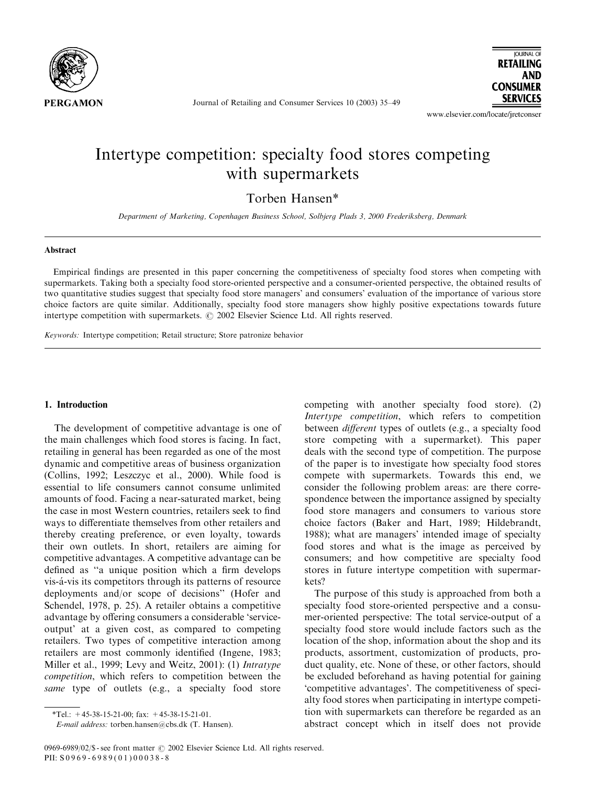

Journal of Retailing and Consumer Services 10 (2003) 35–49

www.elsevier.com/locate/iretconser

**IOURNAL OF RETAILING AND CONSUMER SERVICES** 

# Intertype competition: specialty food stores competing with supermarkets

Torben Hansen\*

Department of Marketing, Copenhagen Business School, Solbjerg Plads 3, 2000 Frederiksberg, Denmark

#### Abstract

Empirical findings are presented in this paper concerning the competitiveness of specialty food stores when competing with supermarkets. Taking both a specialty food store-oriented perspective and a consumer-oriented perspective, the obtained results of two quantitative studies suggest that specialty food store managers' and consumers' evaluation of the importance of various store choice factors are quite similar. Additionally, specialty food store managers show highly positive expectations towards future intertype competition with supermarkets.  $\odot$  2002 Elsevier Science Ltd. All rights reserved.

Keywords: Intertype competition; Retail structure; Store patronize behavior

### 1. Introduction

The development of competitive advantage is one of the main challenges which food stores is facing. In fact, retailing in general has been regarded as one of the most dynamic and competitive areas of business organization (Collins, 1992; Leszczyc et al., 2000). While food is essential to life consumers cannot consume unlimited amounts of food. Facing a near-saturated market, being the case in most Western countries, retailers seek to find ways to differentiate themselves from other retailers and thereby creating preference, or even loyalty, towards their own outlets. In short, retailers are aiming for competitive advantages. A competitive advantage can be defined as ''a unique position which a firm develops vis-á-vis its competitors through its patterns of resource deployments and/or scope of decisions'' (Hofer and Schendel, 1978, p. 25). A retailer obtains a competitive advantage byoffering consumers a considerable 'serviceoutput' at a given cost, as compared to competing retailers. Two types of competitive interaction among retailers are most commonly identified (Ingene, 1983; Miller et al., 1999; Levy and Weitz, 2001): (1) Intratype competition, which refers to competition between the same type of outlets (e.g., a specialty food store

competing with another specialty food store).  $(2)$ Intertype competition, which refers to competition between different types of outlets (e.g., a specialty food store competing with a supermarket). This paper deals with the second type of competition. The purpose of the paper is to investigate how specialty food stores compete with supermarkets. Towards this end, we consider the following problem areas: are there correspondence between the importance assigned by specialty food store managers and consumers to various store choice factors (Baker and Hart, 1989; Hildebrandt, 1988); what are managers' intended image of specialty food stores and what is the image as perceived by consumers; and how competitive are specialty food stores in future intertype competition with supermarkets?

The purpose of this study is approached from both a specialty food store-oriented perspective and a consumer-oriented perspective: The total service-output of a specialty food store would include factors such as the location of the shop, information about the shop and its products, assortment, customization of products, product quality, etc. None of these, or other factors, should be excluded beforehand as having potential for gaining 'competitive advantages'. The competitiveness of specialty food stores when participating in intertype competition with supermarkets can therefore be regarded as an abstract concept which in itself does not provide

<sup>\*</sup>Tel.:  $+45-38-15-21-00$ ; fax:  $+45-38-15-21-01$ .

E-mail address: torben.hansen@cbs.dk (T. Hansen).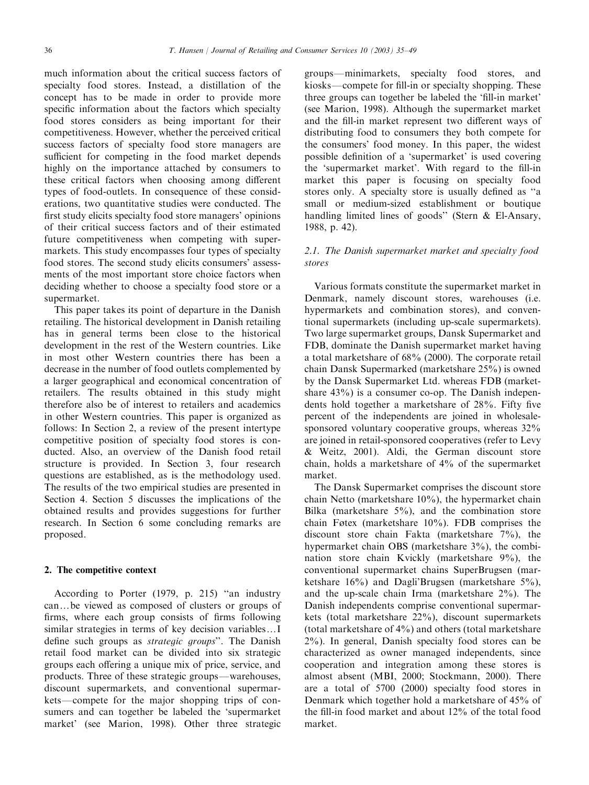much information about the critical success factors of specialty food stores. Instead, a distillation of the concept has to be made in order to provide more specific information about the factors which specialty food stores considers as being important for their competitiveness. However, whether the perceived critical success factors of specialty food store managers are sufficient for competing in the food market depends highly on the importance attached by consumers to these critical factors when choosing among different types of food-outlets. In consequence of these considerations, two quantitative studies were conducted. The first study elicits specialty food store managers' opinions of their critical success factors and of their estimated future competitiveness when competing with supermarkets. This study encompasses four types of specialty food stores. The second study elicits consumers' assessments of the most important store choice factors when deciding whether to choose a specialty food store or a supermarket.

This paper takes its point of departure in the Danish retailing. The historical development in Danish retailing has in general terms been close to the historical development in the rest of the Western countries. Like in most other Western countries there has been a decrease in the number of food outlets complemented by a larger geographical and economical concentration of retailers. The results obtained in this study might therefore also be of interest to retailers and academics in other Western countries. This paper is organized as follows: In Section 2, a review of the present intertype competitive position of specialty food stores is conducted. Also, an overview of the Danish food retail structure is provided. In Section 3, four research questions are established, as is the methodology used. The results of the two empirical studies are presented in Section 4. Section 5 discusses the implications of the obtained results and provides suggestions for further research. In Section 6 some concluding remarks are proposed.

#### 2. The competitive context

According to Porter (1979, p. 215) ''an industry can...be viewed as composed of clusters or groups of firms, where each group consists of firms following similar strategies in terms of key decision variables...I define such groups as strategic groups''. The Danish retail food market can be divided into six strategic groups each offering a unique mix of price, service, and products. Three of these strategic groups—warehouses, discount supermarkets, and conventional supermarkets—compete for the major shopping trips of consumers and can together be labeled the 'supermarket market' (see Marion, 1998). Other three strategic groups—minimarkets, specialty food stores, and kiosks—compete for fill-in or specialty shopping. These three groups can together be labeled the 'fill-in market' (see Marion, 1998). Although the supermarket market and the fill-in market represent two different ways of distributing food to consumers they both compete for the consumers' food money. In this paper, the widest possible definition of a 'supermarket' is used covering the 'supermarket market'. With regard to the fill-in market this paper is focusing on specialty food stores only. A specialty store is usually defined as ''a small or medium-sized establishment or boutique handling limited lines of goods'' (Stern & El-Ansary, 1988, p. 42).

### 2.1. The Danish supermarket market and specialty food stores

Various formats constitute the supermarket market in Denmark, namely discount stores, warehouses (i.e. hypermarkets and combination stores), and conventional supermarkets (including up-scale supermarkets). Two large supermarket groups, Dansk Supermarket and FDB, dominate the Danish supermarket market having a total marketshare of 68% (2000). The corporate retail chain Dansk Supermarked (marketshare 25%) is owned bythe Dansk Supermarket Ltd. whereas FDB (marketshare 43%) is a consumer co-op. The Danish independents hold together a marketshare of  $28\%$ . Fifty five percent of the independents are joined in wholesalesponsored voluntary cooperative groups, whereas  $32\%$ are joined in retail-sponsored cooperatives (refer to Levy & Weitz, 2001). Aldi, the German discount store chain, holds a marketshare of 4% of the supermarket market.

The Dansk Supermarket comprises the discount store chain Netto (marketshare 10%), the hypermarket chain Bilka (marketshare 5%), and the combination store chain Føtex (marketshare  $10\%$ ). FDB comprises the discount store chain Fakta (marketshare 7%), the hypermarket chain OBS (marketshare 3%), the combination store chain Kvickly (marketshare 9%), the conventional supermarket chains SuperBrugsen (marketshare 16%) and Dagli'Brugsen (marketshare 5%), and the up-scale chain Irma (marketshare 2%). The Danish independents comprise conventional supermarkets (total marketshare 22%), discount supermarkets (total marketshare of 4%) and others (total marketshare  $2\%$ ). In general, Danish specialty food stores can be characterized as owner managed independents, since cooperation and integration among these stores is almost absent (MBI, 2000; Stockmann, 2000). There are a total of  $5700$   $(2000)$  specialty food stores in Denmark which together hold a marketshare of 45% of the fill-in food market and about 12% of the total food market.